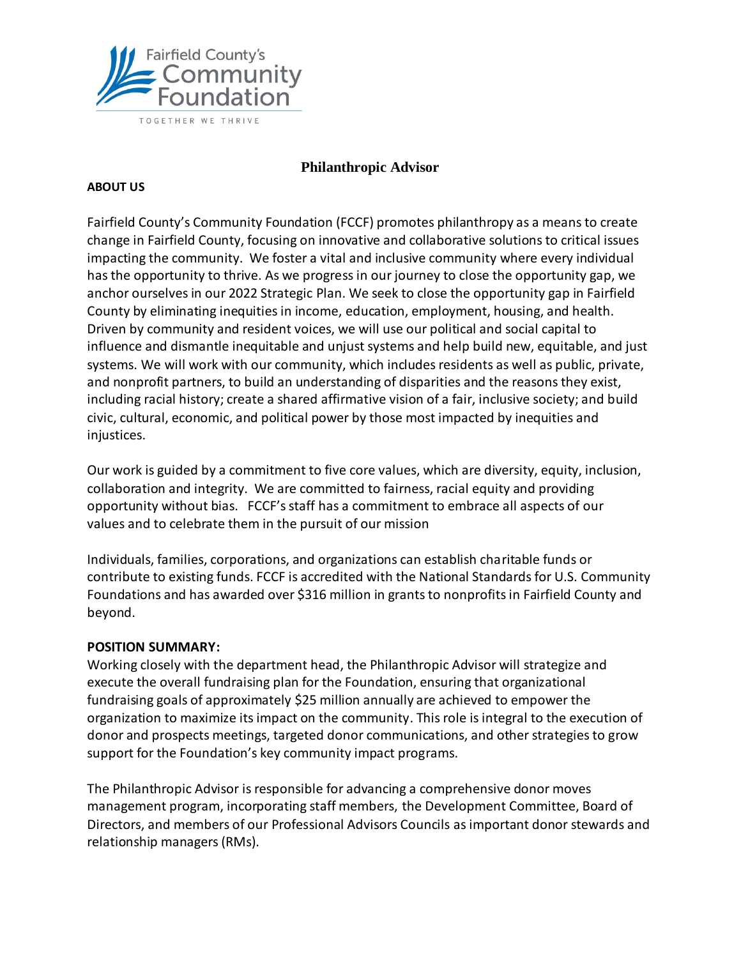

### **Philanthropic Advisor**

#### **ABOUT US**

Fairfield County's Community Foundation (FCCF) promotes philanthropy as a means to create change in Fairfield County, focusing on innovative and collaborative solutions to critical issues impacting the community. We foster a vital and inclusive community where every individual has the opportunity to thrive. As we progress in our journey to close the opportunity gap, we anchor ourselves in our 2022 Strategic Plan. We seek to close the opportunity gap in Fairfield County by eliminating inequities in income, education, employment, housing, and health. Driven by community and resident voices, we will use our political and social capital to influence and dismantle inequitable and unjust systems and help build new, equitable, and just systems. We will work with our community, which includes residents as well as public, private, and nonprofit partners, to build an understanding of disparities and the reasons they exist, including racial history; create a shared affirmative vision of a fair, inclusive society; and build civic, cultural, economic, and political power by those most impacted by inequities and injustices.

Our work is guided by a commitment to five core values, which are diversity, equity, inclusion, collaboration and integrity. We are committed to fairness, racial equity and providing opportunity without bias. FCCF's staff has a commitment to embrace all aspects of our values and to celebrate them in the pursuit of our mission

Individuals, families, corporations, and organizations can establish charitable funds or contribute to existing funds. FCCF is accredited with the National Standards for U.S. Community Foundations and has awarded over \$316 million in grants to nonprofits in Fairfield County and beyond.

### **POSITION SUMMARY:**

Working closely with the department head, the Philanthropic Advisor will strategize and execute the overall fundraising plan for the Foundation, ensuring that organizational fundraising goals of approximately \$25 million annually are achieved to empower the organization to maximize its impact on the community. This role is integral to the execution of donor and prospects meetings, targeted donor communications, and other strategies to grow support for the Foundation's key community impact programs.

The Philanthropic Advisor is responsible for advancing a comprehensive donor moves management program, incorporating staff members, the Development Committee, Board of Directors, and members of our Professional Advisors Councils as important donor stewards and relationship managers (RMs).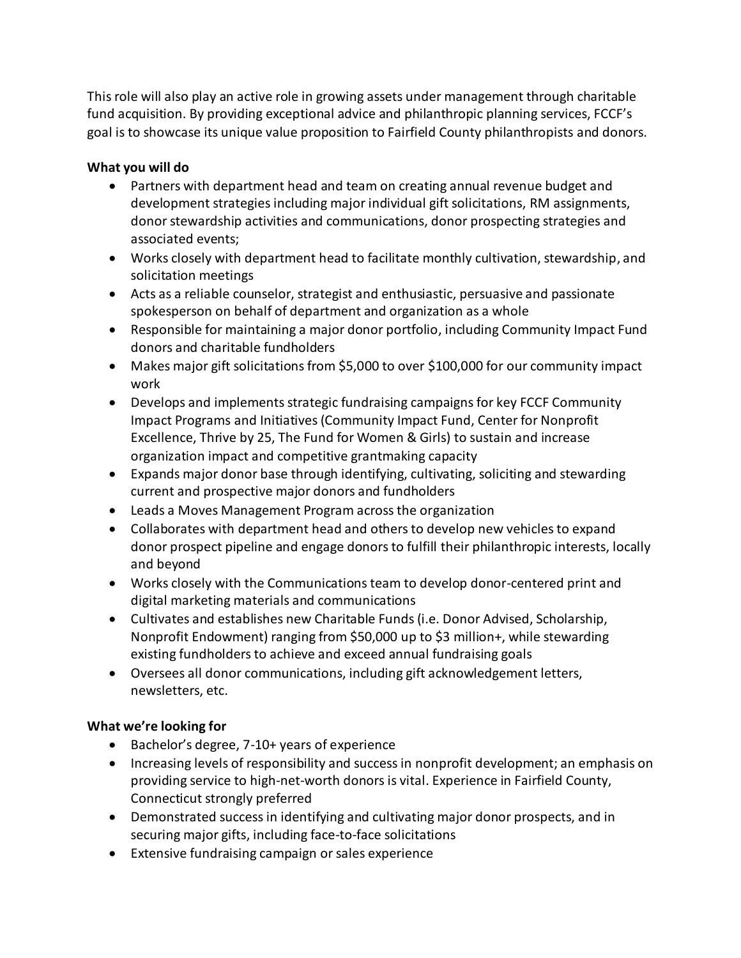This role will also play an active role in growing assets under management through charitable fund acquisition. By providing exceptional advice and philanthropic planning services, FCCF's goal is to showcase its unique value proposition to Fairfield County philanthropists and donors.

## **What you will do**

- Partners with department head and team on creating annual revenue budget and development strategies including major individual gift solicitations, RM assignments, donor stewardship activities and communications, donor prospecting strategies and associated events;
- Works closely with department head to facilitate monthly cultivation, stewardship, and solicitation meetings
- Acts as a reliable counselor, strategist and enthusiastic, persuasive and passionate spokesperson on behalf of department and organization as a whole
- Responsible for maintaining a major donor portfolio, including Community Impact Fund donors and charitable fundholders
- Makes major gift solicitations from \$5,000 to over \$100,000 for our community impact work
- Develops and implements strategic fundraising campaigns for key FCCF Community Impact Programs and Initiatives (Community Impact Fund, Center for Nonprofit Excellence, Thrive by 25, The Fund for Women & Girls) to sustain and increase organization impact and competitive grantmaking capacity
- Expands major donor base through identifying, cultivating, soliciting and stewarding current and prospective major donors and fundholders
- Leads a Moves Management Program across the organization
- Collaborates with department head and others to develop new vehicles to expand donor prospect pipeline and engage donors to fulfill their philanthropic interests, locally and beyond
- Works closely with the Communications team to develop donor-centered print and digital marketing materials and communications
- Cultivates and establishes new Charitable Funds (i.e. Donor Advised, Scholarship, Nonprofit Endowment) ranging from \$50,000 up to \$3 million+, while stewarding existing fundholders to achieve and exceed annual fundraising goals
- Oversees all donor communications, including gift acknowledgement letters, newsletters, etc.

# **What we're looking for**

- Bachelor's degree, 7-10+ years of experience
- Increasing levels of responsibility and success in nonprofit development; an emphasis on providing service to high-net-worth donors is vital. Experience in Fairfield County, Connecticut strongly preferred
- Demonstrated success in identifying and cultivating major donor prospects, and in securing major gifts, including face-to-face solicitations
- Extensive fundraising campaign or sales experience